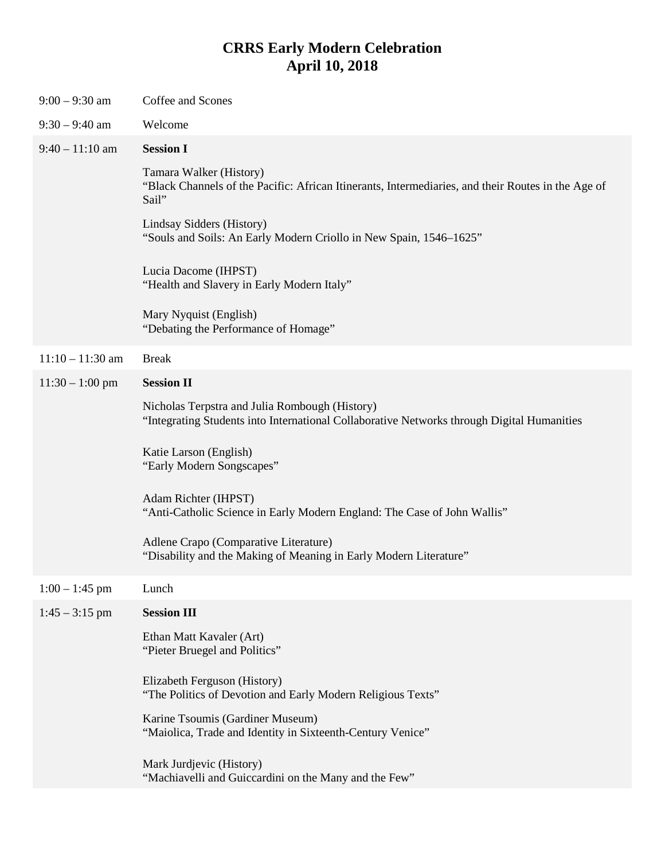## **CRRS Early Modern Celebration April 10, 2018**

| $9:00 - 9:30$ am   | Coffee and Scones                                                                                                                            |
|--------------------|----------------------------------------------------------------------------------------------------------------------------------------------|
| $9:30 - 9:40$ am   | Welcome                                                                                                                                      |
| $9:40 - 11:10$ am  | <b>Session I</b>                                                                                                                             |
|                    | Tamara Walker (History)<br>"Black Channels of the Pacific: African Itinerants, Intermediaries, and their Routes in the Age of<br>Sail"       |
|                    | Lindsay Sidders (History)<br>"Souls and Soils: An Early Modern Criollo in New Spain, 1546–1625"                                              |
|                    | Lucia Dacome (IHPST)<br>"Health and Slavery in Early Modern Italy"                                                                           |
|                    | Mary Nyquist (English)<br>"Debating the Performance of Homage"                                                                               |
| $11:10 - 11:30$ am | <b>Break</b>                                                                                                                                 |
| $11:30 - 1:00$ pm  | <b>Session II</b>                                                                                                                            |
|                    | Nicholas Terpstra and Julia Rombough (History)<br>"Integrating Students into International Collaborative Networks through Digital Humanities |
|                    | Katie Larson (English)<br>"Early Modern Songscapes"                                                                                          |
|                    | Adam Richter (IHPST)<br>"Anti-Catholic Science in Early Modern England: The Case of John Wallis"                                             |
|                    | Adlene Crapo (Comparative Literature)<br>"Disability and the Making of Meaning in Early Modern Literature"                                   |
| $1:00 - 1:45$ pm   | Lunch                                                                                                                                        |
| $1:45 - 3:15$ pm   | <b>Session III</b>                                                                                                                           |
|                    | Ethan Matt Kavaler (Art)<br>"Pieter Bruegel and Politics"                                                                                    |
|                    | Elizabeth Ferguson (History)<br>"The Politics of Devotion and Early Modern Religious Texts"                                                  |
|                    | Karine Tsoumis (Gardiner Museum)<br>"Maiolica, Trade and Identity in Sixteenth-Century Venice"                                               |
|                    | Mark Jurdjevic (History)<br>"Machiavelli and Guiccardini on the Many and the Few"                                                            |